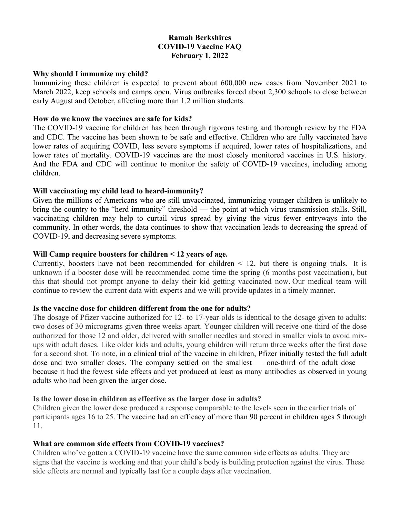## **Ramah Berkshires COVID-19 Vaccine FAQ February 1, 2022**

#### **Why should I immunize my child?**

Immunizing these children is expected to prevent about 600,000 new cases from November 2021 to March 2022, keep schools and camps open. Virus outbreaks forced about 2,300 schools to close between early August and October, affecting more than 1.2 million students.

#### **How do we know the vaccines are safe for kids?**

The COVID-19 vaccine for children has been through rigorous testing and thorough review by the FDA and CDC. The vaccine has been shown to be safe and effective. Children who are fully vaccinated have lower rates of acquiring COVID, less severe symptoms if acquired, lower rates of hospitalizations, and lower rates of mortality. COVID-19 vaccines are the most closely monitored vaccines in U.S. history. And the FDA and CDC will continue to monitor the safety of COVID-19 vaccines, including among children.

### **Will vaccinating my child lead to heard-immunity?**

Given the millions of Americans who are still unvaccinated, immunizing younger children is unlikely to bring the country to the "herd immunity" threshold — the point at which virus transmission stalls. Still, vaccinating children may help to curtail virus spread by giving the virus fewer entryways into the community. In other words, the data continues to show that vaccination leads to decreasing the spread of COVID-19, and decreasing severe symptoms.

### **Will Camp require boosters for children < 12 years of age.**

Currently, boosters have not been recommended for children  $\leq$  12, but there is ongoing trials. It is unknown if a booster dose will be recommended come time the spring (6 months post vaccination), but this that should not prompt anyone to delay their kid getting vaccinated now. Our medical team will continue to review the current data with experts and we will provide updates in a timely manner.

### **Is the vaccine dose for children different from the one for adults?**

The dosage of Pfizer vaccine authorized for 12- to 17-year-olds is identical to the dosage given to adults: two doses of 30 micrograms given three weeks apart. Younger children will receive one-third of the dose authorized for those 12 and older, delivered with smaller needles and stored in smaller vials to avoid mixups with adult doses. Like older kids and adults, young children will return three weeks after the first dose for a second shot. To note, in a clinical trial of the vaccine in children, Pfizer initially tested the full adult dose and two smaller doses. The company settled on the smallest — one-third of the adult dose because it had the fewest side effects and yet produced at least as many antibodies as observed in young adults who had been given the larger dose.

### **Is the lower dose in children as effective as the larger dose in adults?**

Children given the lower dose produced a response comparable to the levels seen in the earlier trials of participants ages 16 to 25. The vaccine had an efficacy of more than 90 percent in children ages 5 through 11.

### **What are common side effects from COVID-19 vaccines?**

Children who've gotten a COVID-19 vaccine have the same common side effects as adults. They are signs that the vaccine is working and that your child's body is building protection against the virus. These side effects are normal and typically last for a couple days after vaccination.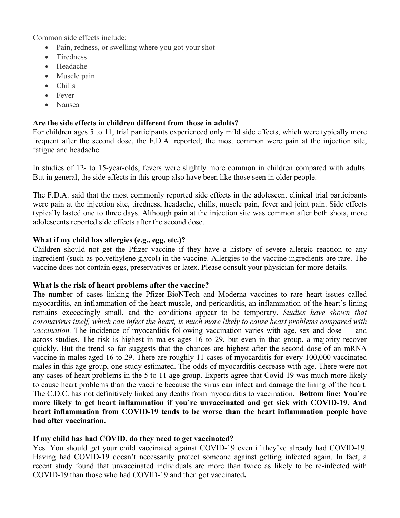Common side effects include:

- Pain, redness, or swelling where you got your shot
- Tiredness
- Headache
- Muscle pain
- Chills
- Fever
- Nausea

# **Are the side effects in children different from those in adults?**

For children ages 5 to 11, trial participants experienced only mild side effects, which were typically more frequent after the second dose, the F.D.A. reported; the most common were pain at the injection site, fatigue and headache.

In studies of 12- to 15-year-olds, fevers were slightly more common in children compared with adults. But in general, the side effects in this group also have been like those seen in older people.

The F.D.A. said that the most commonly reported side effects in the adolescent clinical trial participants were pain at the injection site, tiredness, headache, chills, muscle pain, fever and joint pain. Side effects typically lasted one to three days. Although pain at the injection site was common after both shots, more adolescents reported side effects after the second dose.

## **What if my child has allergies (e.g., egg, etc.)?**

Children should not get the Pfizer vaccine if they have a history of severe allergic reaction to any ingredient (such as polyethylene glycol) in the vaccine. Allergies to the vaccine ingredients are rare. The vaccine does not contain eggs, preservatives or latex. Please consult your physician for more details.

# **What is the risk of heart problems after the vaccine?**

The number of cases linking the Pfizer-BioNTech and Moderna vaccines to rare heart issues called myocarditis, an inflammation of the heart muscle, and pericarditis, an inflammation of the heart's lining remains exceedingly small, and the conditions appear to be temporary. *Studies have shown that coronavirus itself, which can infect the heart, is much more likely to cause heart problems compared with vaccination.* The incidence of myocarditis following vaccination varies with age, sex and dose — and across studies. The risk is highest in males ages 16 to 29, but even in that group, a majority recover quickly. But the trend so far suggests that the chances are highest after the second dose of an mRNA vaccine in males aged 16 to 29. There are roughly 11 cases of myocarditis for every 100,000 vaccinated males in this age group, one study estimated. The odds of myocarditis decrease with age. There were not any cases of heart problems in the 5 to 11 age group. Experts agree that Covid-19 was much more likely to cause heart problems than the vaccine because the virus can infect and damage the lining of the heart. The C.D.C. has not definitively linked any deaths from myocarditis to vaccination. **Bottom line: You're more likely to get heart inflammation if you're unvaccinated and get sick with COVID-19. And heart inflammation from COVID-19 tends to be worse than the heart inflammation people have had after vaccination.**

# **If my child has had COVID, do they need to get vaccinated?**

Yes. You should get your child vaccinated against COVID-19 even if they've already had COVID-19. Having had COVID-19 doesn't necessarily protect someone against getting infected again. In fact, a recent study found that unvaccinated individuals are more than twice as likely to be re-infected with COVID-19 than those who had COVID-19 and then got vaccinated**.**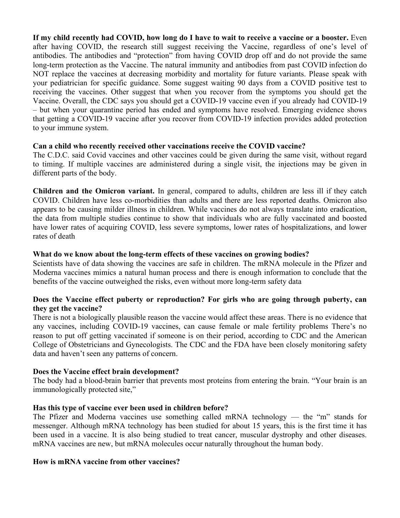**If my child recently had COVID, how long do I have to wait to receive a vaccine or a booster.** Even after having COVID, the research still suggest receiving the Vaccine, regardless of one's level of antibodies. The antibodies and "protection" from having COVID drop off and do not provide the same long-term protection as the Vaccine. The natural immunity and antibodies from past COVID infection do NOT replace the vaccines at decreasing morbidity and mortality for future variants. Please speak with your pediatrician for specific guidance. Some suggest waiting 90 days from a COVID positive test to receiving the vaccines. Other suggest that when you recover from the symptoms you should get the Vaccine. Overall, the CDC says you should get a COVID-19 vaccine even if you already had COVID-19 – but when your quarantine period has ended and symptoms have resolved. Emerging evidence shows that getting a COVID-19 vaccine after you recover from COVID-19 infection provides added protection to your immune system.

## **Can a child who recently received other vaccinations receive the COVID vaccine?**

The C.D.C. said Covid vaccines and other vaccines could be given during the same visit, without regard to timing. If multiple vaccines are administered during a single visit, the injections may be given in different parts of the body.

**Children and the Omicron variant.** In general, compared to adults, children are less ill if they catch COVID. Children have less co-morbidities than adults and there are less reported deaths. Omicron also appears to be causing milder illness in children. While vaccines do not always translate into eradication, the data from multiple studies continue to show that individuals who are fully vaccinated and boosted have lower rates of acquiring COVID, less severe symptoms, lower rates of hospitalizations, and lower rates of death

## **What do we know about the long-term effects of these vaccines on growing bodies?**

Scientists have of data showing the vaccines are safe in children. The mRNA molecule in the Pfizer and Moderna vaccines mimics a natural human process and there is enough information to conclude that the benefits of the vaccine outweighed the risks, even without more long-term safety data

## **Does the Vaccine effect puberty or reproduction? For girls who are going through puberty, can they get the vaccine?**

There is not a biologically plausible reason the vaccine would affect these areas. There is no evidence that any vaccines, including COVID-19 vaccines, can cause female or male fertility problems There's no reason to put off getting vaccinated if someone is on their period, according to CDC and the American College of Obstetricians and Gynecologists. The CDC and the FDA have been closely monitoring safety data and haven't seen any patterns of concern.

# **Does the Vaccine effect brain development?**

The body had a blood-brain barrier that prevents most proteins from entering the brain. "Your brain is an immunologically protected site,"

### **Has this type of vaccine ever been used in children before?**

The Pfizer and Moderna vaccines use something called mRNA technology — the "m" stands for messenger. Although mRNA technology has been studied for about 15 years, this is the first time it has been used in a vaccine. It is also being studied to treat cancer, muscular dystrophy and other diseases. mRNA vaccines are new, but mRNA molecules occur naturally throughout the human body.

# **How is mRNA vaccine from other vaccines?**